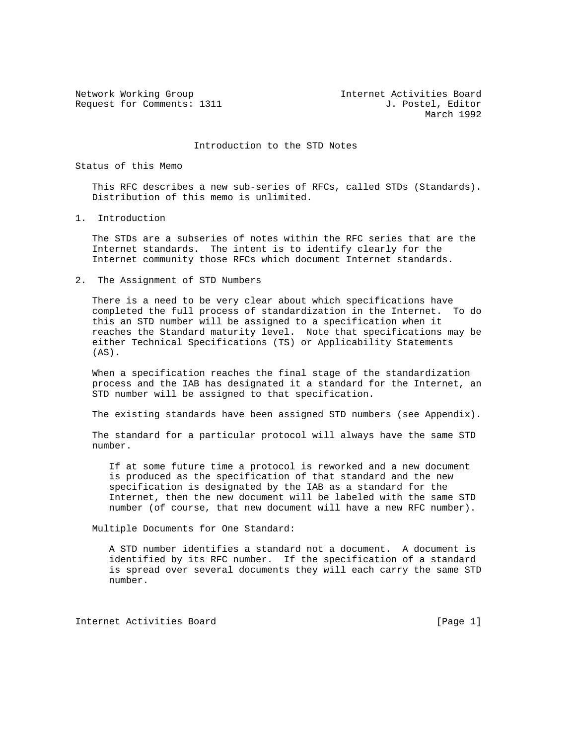Request for Comments: 1311 J. Postel, Editor

Network Working Group Internet Activities Board March 1992

Introduction to the STD Notes

Status of this Memo

 This RFC describes a new sub-series of RFCs, called STDs (Standards). Distribution of this memo is unlimited.

1. Introduction

 The STDs are a subseries of notes within the RFC series that are the Internet standards. The intent is to identify clearly for the Internet community those RFCs which document Internet standards.

2. The Assignment of STD Numbers

 There is a need to be very clear about which specifications have completed the full process of standardization in the Internet. To do this an STD number will be assigned to a specification when it reaches the Standard maturity level. Note that specifications may be either Technical Specifications (TS) or Applicability Statements  $(AS)$ .

 When a specification reaches the final stage of the standardization process and the IAB has designated it a standard for the Internet, an STD number will be assigned to that specification.

The existing standards have been assigned STD numbers (see Appendix).

 The standard for a particular protocol will always have the same STD number.

 If at some future time a protocol is reworked and a new document is produced as the specification of that standard and the new specification is designated by the IAB as a standard for the Internet, then the new document will be labeled with the same STD number (of course, that new document will have a new RFC number).

Multiple Documents for One Standard:

 A STD number identifies a standard not a document. A document is identified by its RFC number. If the specification of a standard is spread over several documents they will each carry the same STD number.

Internet Activities Board [Page 1]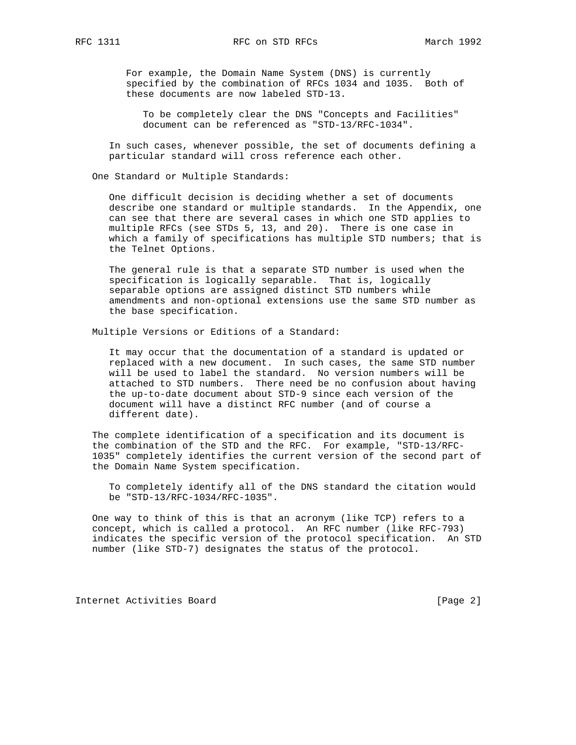For example, the Domain Name System (DNS) is currently specified by the combination of RFCs 1034 and 1035. Both of these documents are now labeled STD-13.

 To be completely clear the DNS "Concepts and Facilities" document can be referenced as "STD-13/RFC-1034".

 In such cases, whenever possible, the set of documents defining a particular standard will cross reference each other.

One Standard or Multiple Standards:

 One difficult decision is deciding whether a set of documents describe one standard or multiple standards. In the Appendix, one can see that there are several cases in which one STD applies to multiple RFCs (see STDs 5, 13, and 20). There is one case in which a family of specifications has multiple STD numbers; that is the Telnet Options.

 The general rule is that a separate STD number is used when the specification is logically separable. That is, logically separable options are assigned distinct STD numbers while amendments and non-optional extensions use the same STD number as the base specification.

Multiple Versions or Editions of a Standard:

 It may occur that the documentation of a standard is updated or replaced with a new document. In such cases, the same STD number will be used to label the standard. No version numbers will be attached to STD numbers. There need be no confusion about having the up-to-date document about STD-9 since each version of the document will have a distinct RFC number (and of course a different date).

 The complete identification of a specification and its document is the combination of the STD and the RFC. For example, "STD-13/RFC- 1035" completely identifies the current version of the second part of the Domain Name System specification.

 To completely identify all of the DNS standard the citation would be "STD-13/RFC-1034/RFC-1035".

 One way to think of this is that an acronym (like TCP) refers to a concept, which is called a protocol. An RFC number (like RFC-793) indicates the specific version of the protocol specification. An STD number (like STD-7) designates the status of the protocol.

Internet Activities Board [Page 2]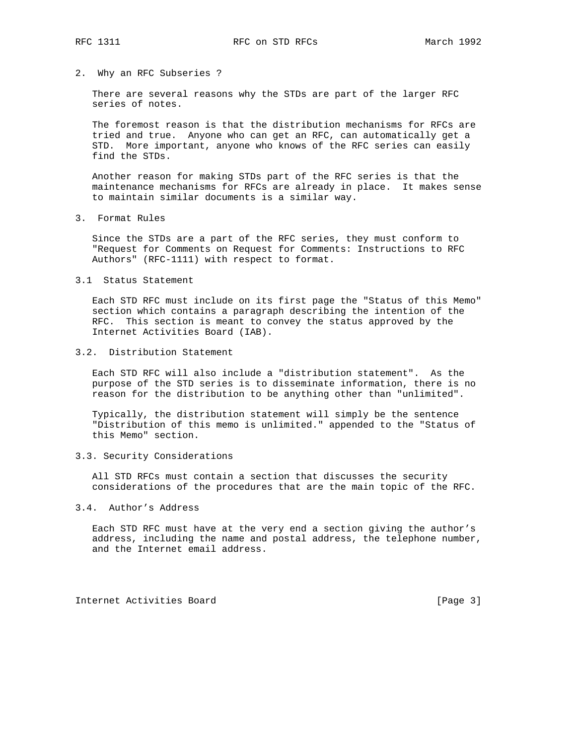2. Why an RFC Subseries ?

 There are several reasons why the STDs are part of the larger RFC series of notes.

 The foremost reason is that the distribution mechanisms for RFCs are tried and true. Anyone who can get an RFC, can automatically get a STD. More important, anyone who knows of the RFC series can easily find the STDs.

 Another reason for making STDs part of the RFC series is that the maintenance mechanisms for RFCs are already in place. It makes sense to maintain similar documents is a similar way.

3. Format Rules

 Since the STDs are a part of the RFC series, they must conform to "Request for Comments on Request for Comments: Instructions to RFC Authors" (RFC-1111) with respect to format.

3.1 Status Statement

 Each STD RFC must include on its first page the "Status of this Memo" section which contains a paragraph describing the intention of the RFC. This section is meant to convey the status approved by the Internet Activities Board (IAB).

## 3.2. Distribution Statement

 Each STD RFC will also include a "distribution statement". As the purpose of the STD series is to disseminate information, there is no reason for the distribution to be anything other than "unlimited".

 Typically, the distribution statement will simply be the sentence "Distribution of this memo is unlimited." appended to the "Status of this Memo" section.

3.3. Security Considerations

 All STD RFCs must contain a section that discusses the security considerations of the procedures that are the main topic of the RFC.

## 3.4. Author's Address

 Each STD RFC must have at the very end a section giving the author's address, including the name and postal address, the telephone number, and the Internet email address.

Internet Activities Board [Page 3]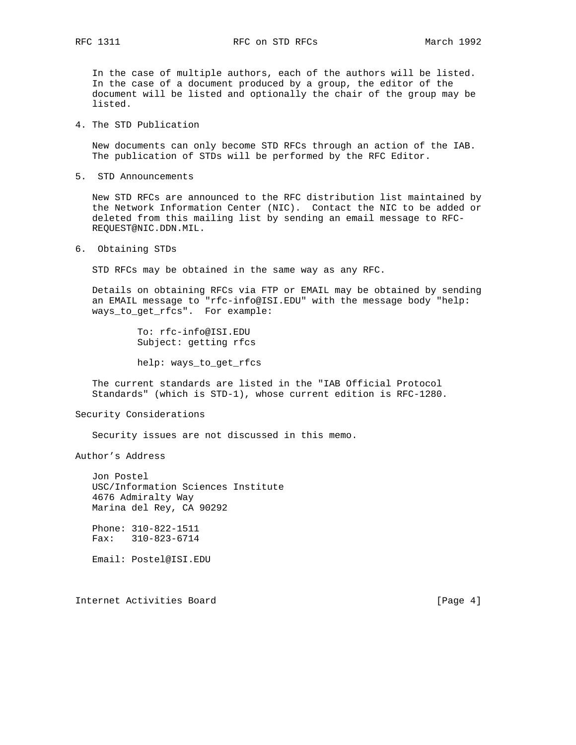In the case of multiple authors, each of the authors will be listed. In the case of a document produced by a group, the editor of the document will be listed and optionally the chair of the group may be listed.

4. The STD Publication

 New documents can only become STD RFCs through an action of the IAB. The publication of STDs will be performed by the RFC Editor.

5. STD Announcements

 New STD RFCs are announced to the RFC distribution list maintained by the Network Information Center (NIC). Contact the NIC to be added or deleted from this mailing list by sending an email message to RFC- REQUEST@NIC.DDN.MIL.

6. Obtaining STDs

STD RFCs may be obtained in the same way as any RFC.

 Details on obtaining RFCs via FTP or EMAIL may be obtained by sending an EMAIL message to "rfc-info@ISI.EDU" with the message body "help: ways\_to\_get\_rfcs". For example:

> To: rfc-info@ISI.EDU Subject: getting rfcs

help: ways\_to\_get\_rfcs

 The current standards are listed in the "IAB Official Protocol Standards" (which is STD-1), whose current edition is RFC-1280.

Security Considerations

Security issues are not discussed in this memo.

Author's Address

 Jon Postel USC/Information Sciences Institute 4676 Admiralty Way Marina del Rey, CA 90292 Phone: 310-822-1511 Fax: 310-823-6714

Email: Postel@ISI.EDU

Internet Activities Board [Page 4]